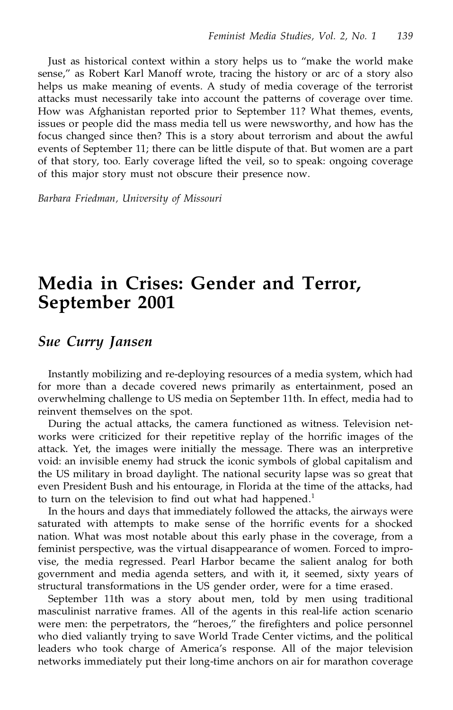Just as historical context within a story helps us to "make the world make sense," as Robert Karl Manoff wrote, tracing the history or arc of a story also helps us make meaning of events. A study of media coverage of the terrorist attacks must necessarily take into account the patterns of coverage over time. How was Afghanistan reported prior to September 11? What themes, events, issues or people did the mass media tell us were newsworthy, and how has the focus changed since then? This is a story about terrorism and about the awful events of September 11; there can be little dispute of that. But women are a part of that story, too. Early coverage lifted the veil, so to speak: ongoing coverage of this major story must not obscure their presence now.

*Barbara Friedman, University of Missouri*

# **Media in Crises: Gender and Terror, September 2001**

### *Sue Curry Jansen*

Instantly mobilizing and re-deploying resources of a media system, which had for more than a decade covered news primarily as entertainment, posed an overwhelming challenge to US media on September 11th. In effect, media had to reinvent themselves on the spot.

During the actual attacks, the camera functioned as witness. Television networks were criticized for their repetitive replay of the horrific images of the attack. Yet, the images were initially the message. There was an interpretive void: an invisible enemy had struck the iconic symbols of global capitalism and the US military in broad daylight. The national security lapse was so great that even President Bush and his entourage, in Florida at the time of the attacks, had to turn on the television to find out what had happened.<sup>1</sup>

In the hours and days that immediately followed the attacks, the airways were saturated with attempts to make sense of the horrific events for a shocked nation. What was most notable about this early phase in the coverage, from a feminist perspective, was the virtual disappearance of women. Forced to improvise, the media regressed. Pearl Harbor became the salient analog for both government and media agenda setters, and with it, it seemed, sixty years of structural transformations in the US gender order, were for a time erased.

September 11th was a story about men, told by men using traditional masculinist narrative frames. All of the agents in this real-life action scenario were men: the perpetrators, the "heroes," the firefighters and police personnel who died valiantly trying to save World Trade Center victims, and the political leaders who took charge of America's response. All of the major television networks immediately put their long-time anchors on air for marathon coverage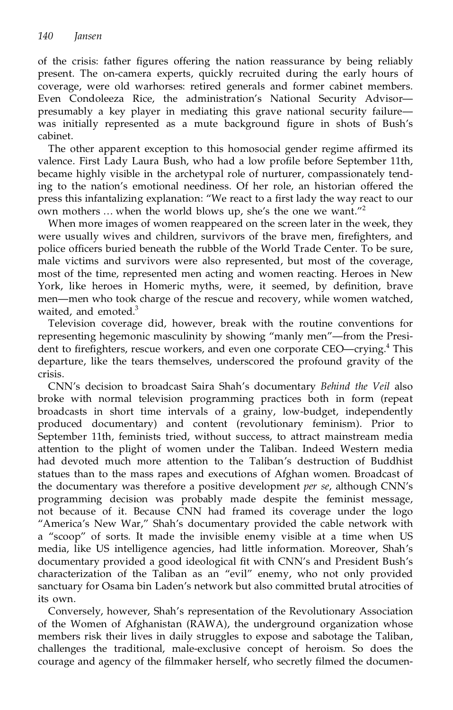of the crisis: father figures offering the nation reassurance by being reliably present. The on-camera experts, quickly recruited during the early hours of coverage, were old warhorses: retired generals and former cabinet members. Even Condoleeza Rice, the administration's National Security Advisor presumably a key player in mediating this grave national security failure was initially represented as a mute background égure in shots of Bush's cabinet.

The other apparent exception to this homosocial gender regime aférmed its valence. First Lady Laura Bush, who had a low proéle before September 11th, became highly visible in the archetypal role of nurturer, compassionately tending to the nation's emotional neediness. Of her role, an historian offered the press this infantalizing explanation: "We react to a first lady the way react to our own mothers … when the world blows up, she's the one we want."<sup>2</sup>

When more images of women reappeared on the screen later in the week, they were usually wives and children, survivors of the brave men, firefighters, and police officers buried beneath the rubble of the World Trade Center. To be sure, male victims and survivors were also represented, but most of the coverage, most of the time, represented men acting and women reacting. Heroes in New York, like heroes in Homeric myths, were, it seemed, by definition, brave men—men who took charge of the rescue and recovery, while women watched, waited, and emoted.<sup>3</sup>

Television coverage did, however, break with the routine conventions for representing hegemonic masculinity by showing "manly men"—from the President to firefighters, rescue workers, and even one corporate CEO—crying.<sup>4</sup> This departure, like the tears themselves, underscored the profound gravity of the crisis.

CNN's decision to broadcast Saira Shah's documentary *Behind the Veil* also broke with normal television programming practices both in form (repeat broadcasts in short time intervals of a grainy, low-budget, independently produced documentary) and content (revolutionary feminism). Prior to September 11th, feminists tried, without success, to attract mainstream media attention to the plight of women under the Taliban. Indeed Western media had devoted much more attention to the Taliban's destruction of Buddhist statues than to the mass rapes and executions of Afghan women. Broadcast of the documentary was therefore a positive development *per se*, although CNN's programming decision was probably made despite the feminist message, not because of it. Because CNN had framed its coverage under the logo "America's New War," Shah's documentary provided the cable network with a "scoop" of sorts. It made the invisible enemy visible at a time when US media, like US intelligence agencies, had little information. Moreover, Shah's documentary provided a good ideological ét with CNN's and President Bush's characterization of the Taliban as an "evil" enemy, who not only provided sanctuary for Osama bin Laden's network but also committed brutal atrocities of its own.

Conversely, however, Shah's representation of the Revolutionary Association of the Women of Afghanistan (RAWA), the underground organization whose members risk their lives in daily struggles to expose and sabotage the Taliban, challenges the traditional, male-exclusive concept of heroism. So does the courage and agency of the filmmaker herself, who secretly filmed the documen